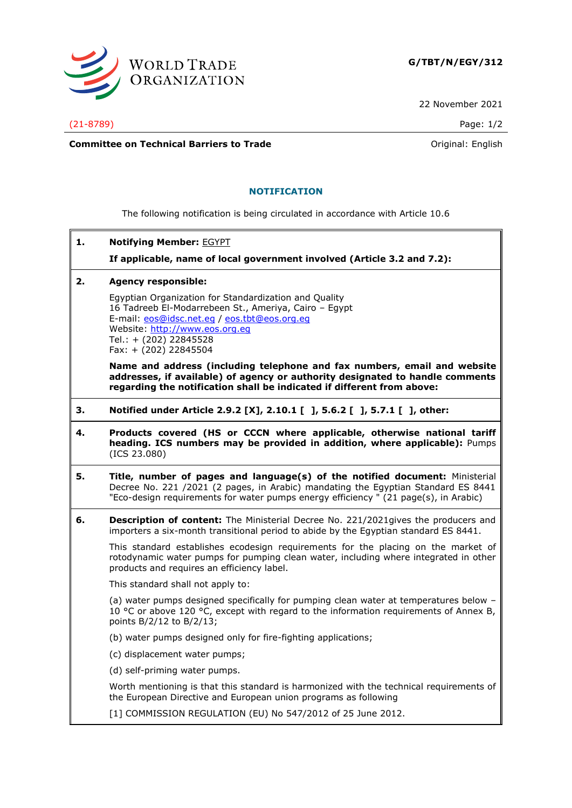

22 November 2021

(21-8789) Page: 1/2

**Committee on Technical Barriers to Trade Committee on Technical Barriers to Trade Original: English** 

## **NOTIFICATION**

The following notification is being circulated in accordance with Article 10.6

**1. Notifying Member:** EGYPT

**If applicable, name of local government involved (Article 3.2 and 7.2):**

**2. Agency responsible:**

Egyptian Organization for Standardization and Quality 16 Tadreeb El-Modarrebeen St., Ameriya, Cairo – Egypt E-mail: [eos@idsc.net.eg](mailto:eos@idsc.net.eg) / [eos.tbt@eos.org.eg](mailto:eos.tbt@eos.org.eg) Website: [http://www.eos.org.eg](http://www.eos.org.eg/) Tel.: + (202) 22845528 Fax: + (202) 22845504

**Name and address (including telephone and fax numbers, email and website addresses, if available) of agency or authority designated to handle comments regarding the notification shall be indicated if different from above:**

- **3. Notified under Article 2.9.2 [X], 2.10.1 [ ], 5.6.2 [ ], 5.7.1 [ ], other:**
- **4. Products covered (HS or CCCN where applicable, otherwise national tariff heading. ICS numbers may be provided in addition, where applicable):** Pumps (ICS 23.080)
- **5. Title, number of pages and language(s) of the notified document:** Ministerial Decree No. 221 /2021 (2 pages, in Arabic) mandating the Egyptian Standard ES 8441 "Eco-design requirements for water pumps energy efficiency " (21 page(s), in Arabic)
- **6. Description of content:** The Ministerial Decree No. 221/2021gives the producers and importers a six-month transitional period to abide by the Egyptian standard ES 8441.

This standard establishes ecodesign requirements for the placing on the market of rotodynamic water pumps for pumping clean water, including where integrated in other products and requires an efficiency label.

This standard shall not apply to:

(a) water pumps designed specifically for pumping clean water at temperatures below – 10 °C or above 120 °C, except with regard to the information requirements of Annex B, points B/2/12 to B/2/13;

- (b) water pumps designed only for fire-fighting applications;
- (c) displacement water pumps;
- (d) self-priming water pumps.

Worth mentioning is that this standard is harmonized with the technical requirements of the European Directive and European union programs as following

[1] COMMISSION REGULATION (EU) No 547/2012 of 25 June 2012.